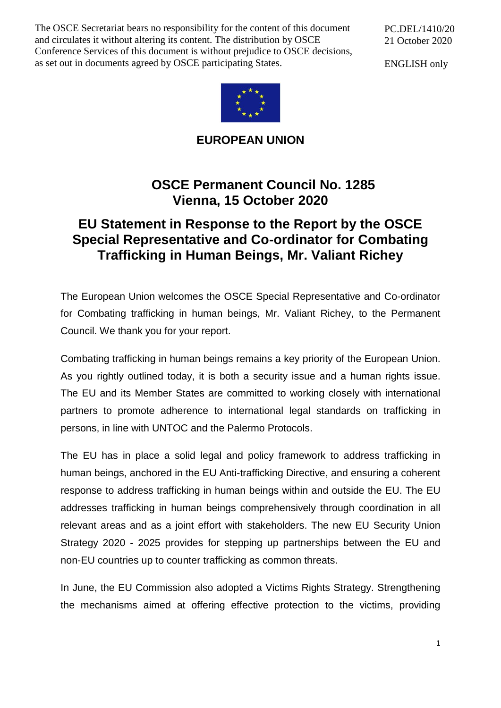The OSCE Secretariat bears no responsibility for the content of this document and circulates it without altering its content. The distribution by OSCE Conference Services of this document is without prejudice to OSCE decisions, as set out in documents agreed by OSCE participating States.

PC.DEL/1410/20 21 October 2020

ENGLISH only



**EUROPEAN UNION**

# **OSCE Permanent Council No. 1285 Vienna, 15 October 2020**

# **EU Statement in Response to the Report by the OSCE Special Representative and Co-ordinator for Combating Trafficking in Human Beings, Mr. Valiant Richey**

The European Union welcomes the OSCE Special Representative and Co-ordinator for Combating trafficking in human beings, Mr. Valiant Richey, to the Permanent Council. We thank you for your report.

Combating trafficking in human beings remains a key priority of the European Union. As you rightly outlined today, it is both a security issue and a human rights issue. The EU and its Member States are committed to working closely with international partners to promote adherence to international legal standards on trafficking in persons, in line with UNTOC and the Palermo Protocols.

The EU has in place a solid legal and policy framework to address trafficking in human beings, anchored in the EU Anti-trafficking Directive, and ensuring a coherent response to address trafficking in human beings within and outside the EU. The EU addresses trafficking in human beings comprehensively through coordination in all relevant areas and as a joint effort with stakeholders. The new EU Security Union Strategy 2020 - 2025 provides for stepping up partnerships between the EU and non-EU countries up to counter trafficking as common threats.

In June, the EU Commission also adopted a Victims Rights Strategy. Strengthening the mechanisms aimed at offering effective protection to the victims, providing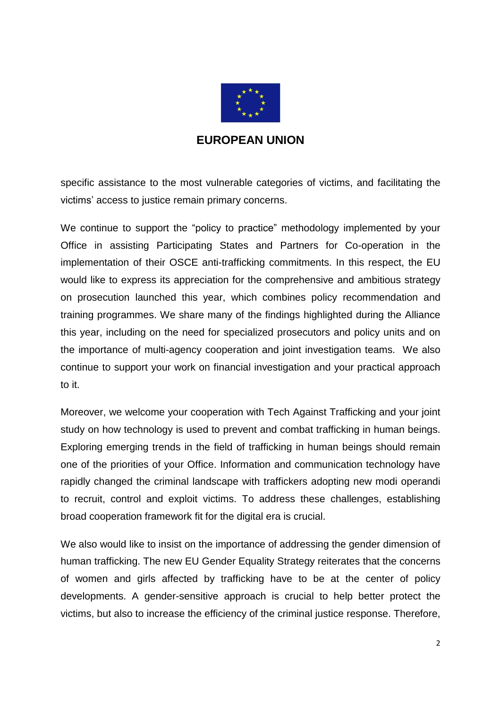

### **EUROPEAN UNION**

specific assistance to the most vulnerable categories of victims, and facilitating the victims' access to justice remain primary concerns.

We continue to support the "policy to practice" methodology implemented by your Office in assisting Participating States and Partners for Co-operation in the implementation of their OSCE anti-trafficking commitments. In this respect, the EU would like to express its appreciation for the comprehensive and ambitious strategy on prosecution launched this year, which combines policy recommendation and training programmes. We share many of the findings highlighted during the Alliance this year, including on the need for specialized prosecutors and policy units and on the importance of multi-agency cooperation and joint investigation teams. We also continue to support your work on financial investigation and your practical approach to it.

Moreover, we welcome your cooperation with Tech Against Trafficking and your joint study on how technology is used to prevent and combat trafficking in human beings. Exploring emerging trends in the field of trafficking in human beings should remain one of the priorities of your Office. Information and communication technology have rapidly changed the criminal landscape with traffickers adopting new modi operandi to recruit, control and exploit victims. To address these challenges, establishing broad cooperation framework fit for the digital era is crucial.

We also would like to insist on the importance of addressing the gender dimension of human trafficking. The new EU Gender Equality Strategy reiterates that the concerns of women and girls affected by trafficking have to be at the center of policy developments. A gender-sensitive approach is crucial to help better protect the victims, but also to increase the efficiency of the criminal justice response. Therefore,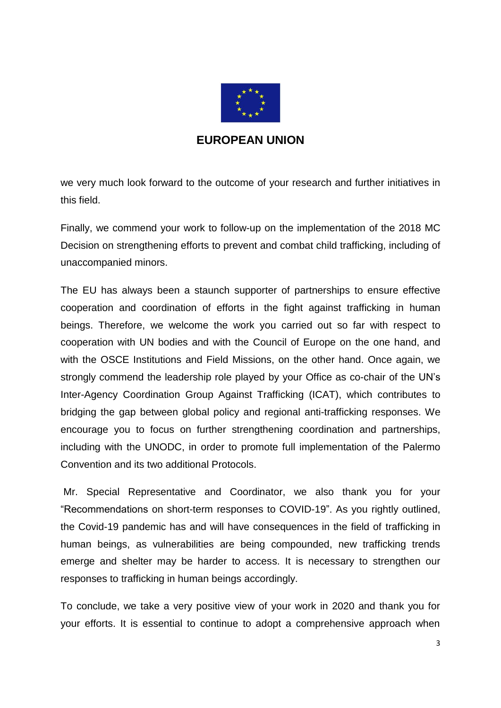

#### **EUROPEAN UNION**

we very much look forward to the outcome of your research and further initiatives in this field.

Finally, we commend your work to follow-up on the implementation of the 2018 MC Decision on strengthening efforts to prevent and combat child trafficking, including of unaccompanied minors.

The EU has always been a staunch supporter of partnerships to ensure effective cooperation and coordination of efforts in the fight against trafficking in human beings. Therefore, we welcome the work you carried out so far with respect to cooperation with UN bodies and with the Council of Europe on the one hand, and with the OSCE Institutions and Field Missions, on the other hand. Once again, we strongly commend the leadership role played by your Office as co-chair of the UN's Inter-Agency Coordination Group Against Trafficking (ICAT), which contributes to bridging the gap between global policy and regional anti-trafficking responses. We encourage you to focus on further strengthening coordination and partnerships, including with the UNODC, in order to promote full implementation of the Palermo Convention and its two additional Protocols.

Mr. Special Representative and Coordinator, we also thank you for your "Recommendations on short-term responses to COVID-19". As you rightly outlined, the Covid-19 pandemic has and will have consequences in the field of trafficking in human beings, as vulnerabilities are being compounded, new trafficking trends emerge and shelter may be harder to access. It is necessary to strengthen our responses to trafficking in human beings accordingly.

To conclude, we take a very positive view of your work in 2020 and thank you for your efforts. It is essential to continue to adopt a comprehensive approach when